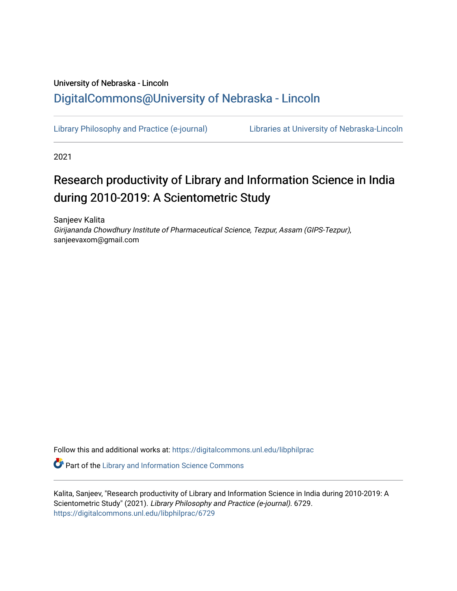# University of Nebraska - Lincoln [DigitalCommons@University of Nebraska - Lincoln](https://digitalcommons.unl.edu/)

[Library Philosophy and Practice \(e-journal\)](https://digitalcommons.unl.edu/libphilprac) [Libraries at University of Nebraska-Lincoln](https://digitalcommons.unl.edu/libraries) 

2021

# Research productivity of Library and Information Science in India during 2010-2019: A Scientometric Study

Sanjeev Kalita Girijananda Chowdhury Institute of Pharmaceutical Science, Tezpur, Assam (GIPS-Tezpur), sanjeevaxom@gmail.com

Follow this and additional works at: [https://digitalcommons.unl.edu/libphilprac](https://digitalcommons.unl.edu/libphilprac?utm_source=digitalcommons.unl.edu%2Flibphilprac%2F6729&utm_medium=PDF&utm_campaign=PDFCoverPages) 

**Part of the Library and Information Science Commons** 

Kalita, Sanjeev, "Research productivity of Library and Information Science in India during 2010-2019: A Scientometric Study" (2021). Library Philosophy and Practice (e-journal). 6729. [https://digitalcommons.unl.edu/libphilprac/6729](https://digitalcommons.unl.edu/libphilprac/6729?utm_source=digitalcommons.unl.edu%2Flibphilprac%2F6729&utm_medium=PDF&utm_campaign=PDFCoverPages)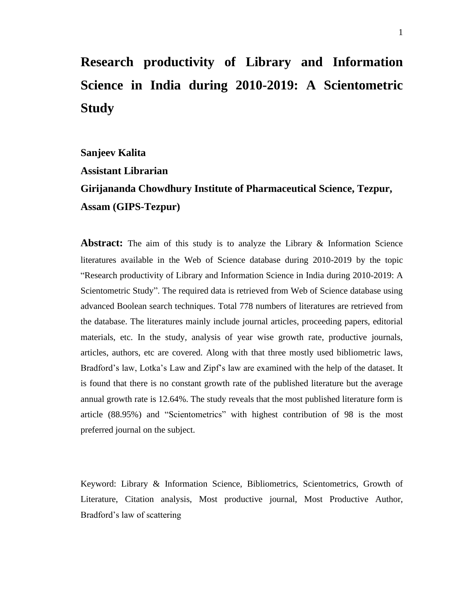# **Research productivity of Library and Information Science in India during 2010-2019: A Scientometric Study**

**Sanjeev Kalita**

**Assistant Librarian**

**Girijananda Chowdhury Institute of Pharmaceutical Science, Tezpur, Assam (GIPS-Tezpur)**

**Abstract:** The aim of this study is to analyze the Library & Information Science literatures available in the Web of Science database during 2010-2019 by the topic "Research productivity of Library and Information Science in India during 2010-2019: A Scientometric Study". The required data is retrieved from Web of Science database using advanced Boolean search techniques. Total 778 numbers of literatures are retrieved from the database. The literatures mainly include journal articles, proceeding papers, editorial materials, etc. In the study, analysis of year wise growth rate, productive journals, articles, authors, etc are covered. Along with that three mostly used bibliometric laws, Bradford's law, Lotka's Law and Zipf's law are examined with the help of the dataset. It is found that there is no constant growth rate of the published literature but the average annual growth rate is 12.64%. The study reveals that the most published literature form is article (88.95%) and "Scientometrics" with highest contribution of 98 is the most preferred journal on the subject.

Keyword: Library & Information Science, Bibliometrics, Scientometrics, Growth of Literature, Citation analysis, Most productive journal, Most Productive Author, Bradford's law of scattering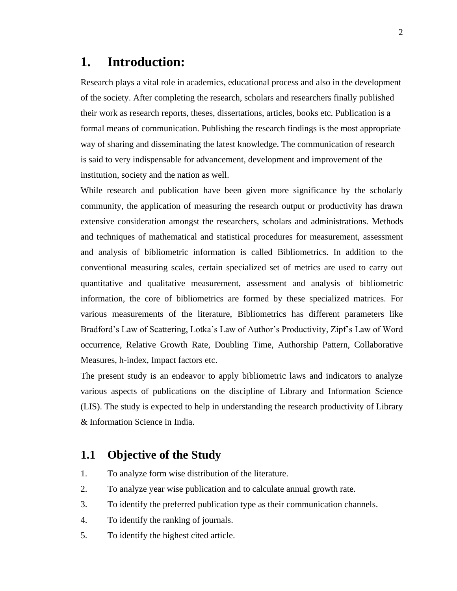# **1. Introduction:**

Research plays a vital role in academics, educational process and also in the development of the society. After completing the research, scholars and researchers finally published their work as research reports, theses, dissertations, articles, books etc. Publication is a formal means of communication. Publishing the research findings is the most appropriate way of sharing and disseminating the latest knowledge. The communication of research is said to very indispensable for advancement, development and improvement of the institution, society and the nation as well.

While research and publication have been given more significance by the scholarly community, the application of measuring the research output or productivity has drawn extensive consideration amongst the researchers, scholars and administrations. Methods and techniques of mathematical and statistical procedures for measurement, assessment and analysis of bibliometric information is called Bibliometrics. In addition to the conventional measuring scales, certain specialized set of metrics are used to carry out quantitative and qualitative measurement, assessment and analysis of bibliometric information, the core of bibliometrics are formed by these specialized matrices. For various measurements of the literature, Bibliometrics has different parameters like Bradford's Law of Scattering, Lotka's Law of Author's Productivity, Zipf's Law of Word occurrence, Relative Growth Rate, Doubling Time, Authorship Pattern, Collaborative Measures, h-index, Impact factors etc.

The present study is an endeavor to apply bibliometric laws and indicators to analyze various aspects of publications on the discipline of Library and Information Science (LIS). The study is expected to help in understanding the research productivity of Library & Information Science in India.

# **1.1 Objective of the Study**

- 1. To analyze form wise distribution of the literature.
- 2. To analyze year wise publication and to calculate annual growth rate.
- 3. To identify the preferred publication type as their communication channels.
- 4. To identify the ranking of journals.
- 5. To identify the highest cited article.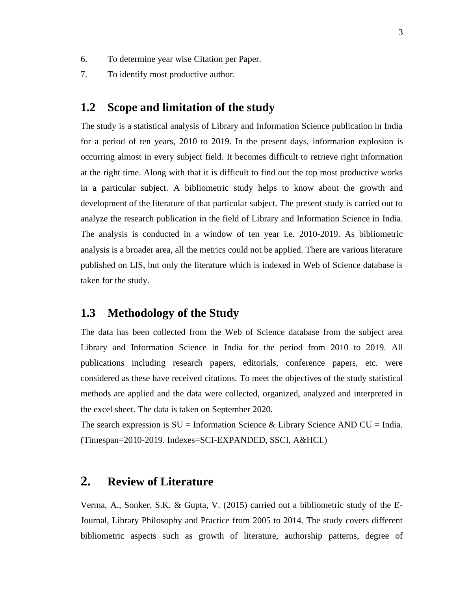- 6. To determine year wise Citation per Paper.
- 7. To identify most productive author.

# **1.2 Scope and limitation of the study**

The study is a statistical analysis of Library and Information Science publication in India for a period of ten years, 2010 to 2019. In the present days, information explosion is occurring almost in every subject field. It becomes difficult to retrieve right information at the right time. Along with that it is difficult to find out the top most productive works in a particular subject. A bibliometric study helps to know about the growth and development of the literature of that particular subject. The present study is carried out to analyze the research publication in the field of Library and Information Science in India. The analysis is conducted in a window of ten year i.e. 2010-2019. As bibliometric analysis is a broader area, all the metrics could not be applied. There are various literature published on LIS, but only the literature which is indexed in Web of Science database is taken for the study.

# **1.3 Methodology of the Study**

The data has been collected from the Web of Science database from the subject area Library and Information Science in India for the period from 2010 to 2019. All publications including research papers, editorials, conference papers, etc. were considered as these have received citations. To meet the objectives of the study statistical methods are applied and the data were collected, organized, analyzed and interpreted in the excel sheet. The data is taken on September 2020.

The search expression is  $SU = Information$  Science & Library Science AND  $CU = India$ . (Timespan=2010-2019. Indexes=SCI-EXPANDED, SSCI, A&HCI.)

# **2. Review of Literature**

Verma, A., Sonker, S.K. & Gupta, V. (2015) carried out a bibliometric study of the E-Journal, Library Philosophy and Practice from 2005 to 2014. The study covers different bibliometric aspects such as growth of literature, authorship patterns, degree of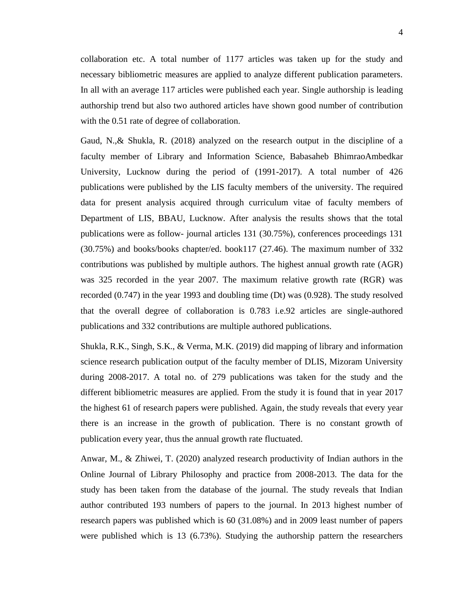collaboration etc. A total number of 1177 articles was taken up for the study and necessary bibliometric measures are applied to analyze different publication parameters. In all with an average 117 articles were published each year. Single authorship is leading authorship trend but also two authored articles have shown good number of contribution with the  $0.51$  rate of degree of collaboration.

Gaud, N.,& Shukla, R. (2018) analyzed on the research output in the discipline of a faculty member of Library and Information Science, Babasaheb BhimraoAmbedkar University, Lucknow during the period of (1991-2017). A total number of 426 publications were published by the LIS faculty members of the university. The required data for present analysis acquired through curriculum vitae of faculty members of Department of LIS, BBAU, Lucknow. After analysis the results shows that the total publications were as follow- journal articles 131 (30.75%), conferences proceedings 131 (30.75%) and books/books chapter/ed. book117 (27.46). The maximum number of 332 contributions was published by multiple authors. The highest annual growth rate (AGR) was 325 recorded in the year 2007. The maximum relative growth rate (RGR) was recorded (0.747) in the year 1993 and doubling time (Dt) was (0.928). The study resolved that the overall degree of collaboration is 0.783 i.e.92 articles are single-authored publications and 332 contributions are multiple authored publications.

Shukla, R.K., Singh, S.K., & Verma, M.K. (2019) did mapping of library and information science research publication output of the faculty member of DLIS, Mizoram University during 2008-2017. A total no. of 279 publications was taken for the study and the different bibliometric measures are applied. From the study it is found that in year 2017 the highest 61 of research papers were published. Again, the study reveals that every year there is an increase in the growth of publication. There is no constant growth of publication every year, thus the annual growth rate fluctuated.

Anwar, M., & Zhiwei, T. (2020) analyzed research productivity of Indian authors in the Online Journal of Library Philosophy and practice from 2008-2013. The data for the study has been taken from the database of the journal. The study reveals that Indian author contributed 193 numbers of papers to the journal. In 2013 highest number of research papers was published which is 60 (31.08%) and in 2009 least number of papers were published which is 13 (6.73%). Studying the authorship pattern the researchers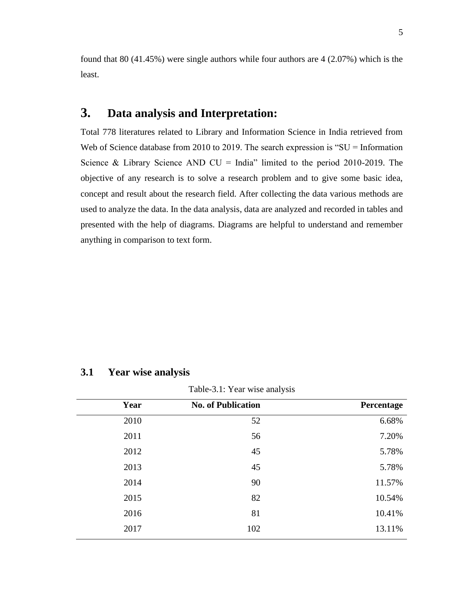found that 80 (41.45%) were single authors while four authors are 4 (2.07%) which is the least.

# **3. Data analysis and Interpretation:**

Total 778 literatures related to Library and Information Science in India retrieved from Web of Science database from 2010 to 2019. The search expression is "SU = Information" Science & Library Science AND  $CU = India$ " limited to the period 2010-2019. The objective of any research is to solve a research problem and to give some basic idea, concept and result about the research field. After collecting the data various methods are used to analyze the data. In the data analysis, data are analyzed and recorded in tables and presented with the help of diagrams. Diagrams are helpful to understand and remember anything in comparison to text form.

## **3.1 Year wise analysis**

Table-3.1: Year wise analysis

| Year | <b>No. of Publication</b> | Percentage |
|------|---------------------------|------------|
| 2010 | 52                        | 6.68%      |
| 2011 | 56                        | 7.20%      |
| 2012 | 45                        | 5.78%      |
| 2013 | 45                        | 5.78%      |
| 2014 | 90                        | 11.57%     |
| 2015 | 82                        | 10.54%     |
| 2016 | 81                        | 10.41%     |
| 2017 | 102                       | 13.11%     |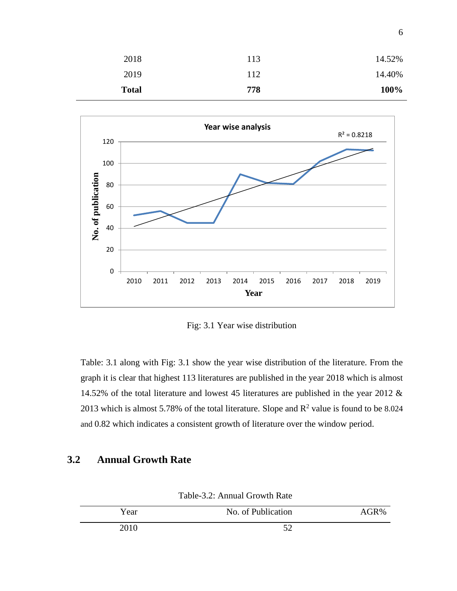| 14.40% | 112 | 2019         |
|--------|-----|--------------|
| 100%   | 778 | <b>Total</b> |



Fig: 3.1 Year wise distribution

Table: 3.1 along with Fig: 3.1 show the year wise distribution of the literature. From the graph it is clear that highest 113 literatures are published in the year 2018 which is almost 14.52% of the total literature and lowest 45 literatures are published in the year 2012 & 2013 which is almost 5.78% of the total literature. Slope and  $\mathbb{R}^2$  value is found to be 8.024 and 0.82 which indicates a consistent growth of literature over the window period.

# **3.2 Annual Growth Rate**

| Year | No. of Publication | AGR% |
|------|--------------------|------|
| 2010 | $\epsilon$         |      |

Table-3.2: Annual Growth Rate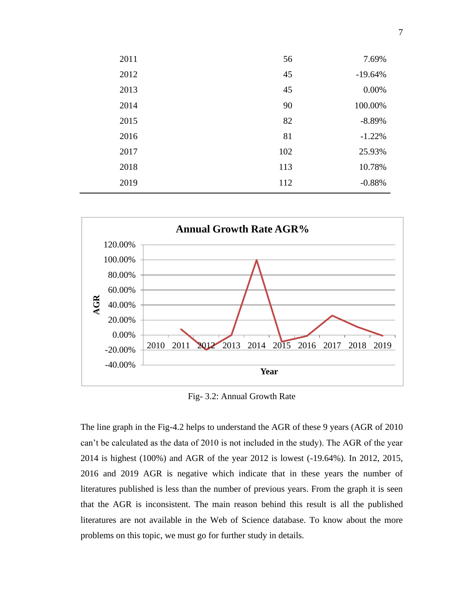| 7.69%     | 56  | 2011 |
|-----------|-----|------|
| $-19.64%$ | 45  | 2012 |
| $0.00\%$  | 45  | 2013 |
| 100.00%   | 90  | 2014 |
| $-8.89%$  | 82  | 2015 |
| $-1.22%$  | 81  | 2016 |
| 25.93%    | 102 | 2017 |
| 10.78%    | 113 | 2018 |
| $-0.88%$  | 112 | 2019 |
|           |     |      |



Fig- 3.2: Annual Growth Rate

The line graph in the Fig-4.2 helps to understand the AGR of these 9 years (AGR of 2010 can't be calculated as the data of 2010 is not included in the study). The AGR of the year 2014 is highest (100%) and AGR of the year 2012 is lowest (-19.64%). In 2012, 2015, 2016 and 2019 AGR is negative which indicate that in these years the number of literatures published is less than the number of previous years. From the graph it is seen that the AGR is inconsistent. The main reason behind this result is all the published literatures are not available in the Web of Science database. To know about the more problems on this topic, we must go for further study in details.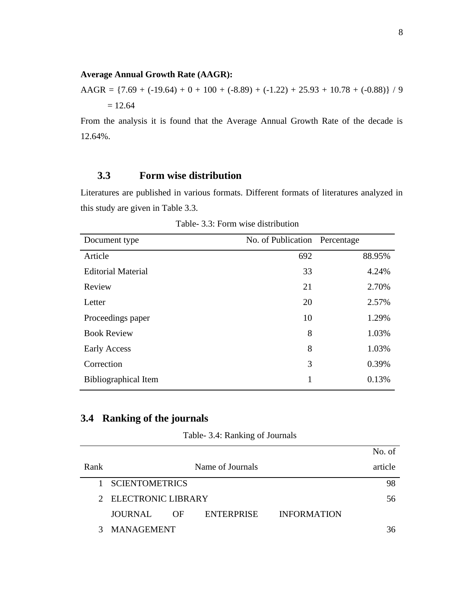#### **Average Annual Growth Rate (AAGR):**

AAGR =  $\{7.69 + (-19.64) + 0 + 100 + (-8.89) + (-1.22) + 25.93 + 10.78 + (-0.88)\}/9$  $= 12.64$ 

From the analysis it is found that the Average Annual Growth Rate of the decade is 12.64%.

# **3.3 Form wise distribution**

Literatures are published in various formats. Different formats of literatures analyzed in this study are given in Table 3.3.

| Document type               | No. of Publication Percentage |        |
|-----------------------------|-------------------------------|--------|
| Article                     | 692                           | 88.95% |
| <b>Editorial Material</b>   | 33                            | 4.24%  |
| Review                      | 21                            | 2.70%  |
| Letter                      | 20                            | 2.57%  |
| Proceedings paper           | 10                            | 1.29%  |
| <b>Book Review</b>          | 8                             | 1.03%  |
| Early Access                | 8                             | 1.03%  |
| Correction                  | 3                             | 0.39%  |
| <b>Bibliographical Item</b> | 1                             | 0.13%  |

Table- 3.3: Form wise distribution

# **3.4 Ranking of the journals**

|              |                       |     |                   |                    | No. of  |
|--------------|-----------------------|-----|-------------------|--------------------|---------|
| Rank         |                       |     | Name of Journals  |                    | article |
| $\mathbf{1}$ | <b>SCIENTOMETRICS</b> |     |                   |                    | 98      |
|              | 2 ELECTRONIC LIBRARY  |     |                   |                    | 56      |
|              | JOURNAL               | OF. | <b>ENTERPRISE</b> | <b>INFORMATION</b> |         |
| 3            | <b>MANAGEMENT</b>     |     |                   |                    |         |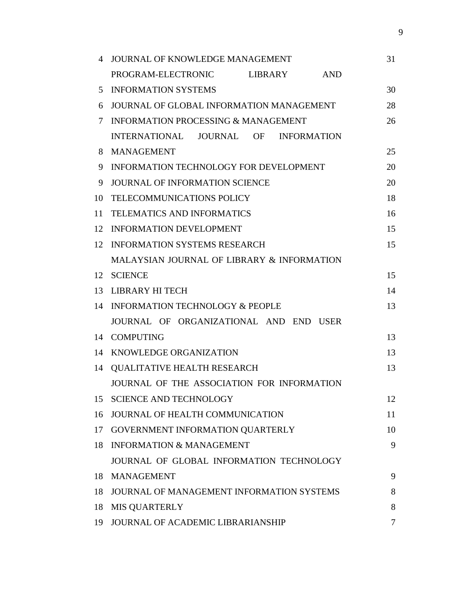| 4  | JOURNAL OF KNOWLEDGE MANAGEMENT                    | 31 |
|----|----------------------------------------------------|----|
|    | PROGRAM-ELECTRONIC<br><b>LIBRARY</b><br><b>AND</b> |    |
| 5  | <b>INFORMATION SYSTEMS</b>                         | 30 |
| 6  | JOURNAL OF GLOBAL INFORMATION MANAGEMENT           | 28 |
| 7  | <b>INFORMATION PROCESSING &amp; MANAGEMENT</b>     | 26 |
|    | INTERNATIONAL JOURNAL OF<br><b>INFORMATION</b>     |    |
| 8  | <b>MANAGEMENT</b>                                  | 25 |
| 9  | INFORMATION TECHNOLOGY FOR DEVELOPMENT             | 20 |
| 9  | <b>JOURNAL OF INFORMATION SCIENCE</b>              | 20 |
| 10 | <b>TELECOMMUNICATIONS POLICY</b>                   | 18 |
| 11 | <b>TELEMATICS AND INFORMATICS</b>                  | 16 |
| 12 | <b>INFORMATION DEVELOPMENT</b>                     | 15 |
| 12 | <b>INFORMATION SYSTEMS RESEARCH</b>                | 15 |
|    | MALAYSIAN JOURNAL OF LIBRARY & INFORMATION         |    |
| 12 | <b>SCIENCE</b>                                     | 15 |
| 13 | <b>LIBRARY HI TECH</b>                             | 14 |
| 14 | <b>INFORMATION TECHNOLOGY &amp; PEOPLE</b>         | 13 |
|    | JOURNAL OF ORGANIZATIONAL AND END USER             |    |
| 14 | <b>COMPUTING</b>                                   | 13 |
| 14 | KNOWLEDGE ORGANIZATION                             | 13 |
| 14 | <b>QUALITATIVE HEALTH RESEARCH</b>                 | 13 |
|    | JOURNAL OF THE ASSOCIATION FOR INFORMATION         |    |
| 15 | <b>SCIENCE AND TECHNOLOGY</b>                      | 12 |
| 16 | JOURNAL OF HEALTH COMMUNICATION                    | 11 |
| 17 | GOVERNMENT INFORMATION QUARTERLY                   | 10 |
| 18 | <b>INFORMATION &amp; MANAGEMENT</b>                | 9  |
|    | JOURNAL OF GLOBAL INFORMATION TECHNOLOGY           |    |
| 18 | <b>MANAGEMENT</b>                                  | 9  |
| 18 | JOURNAL OF MANAGEMENT INFORMATION SYSTEMS          | 8  |
| 18 | <b>MIS QUARTERLY</b>                               | 8  |
| 19 | JOURNAL OF ACADEMIC LIBRARIANSHIP                  | 7  |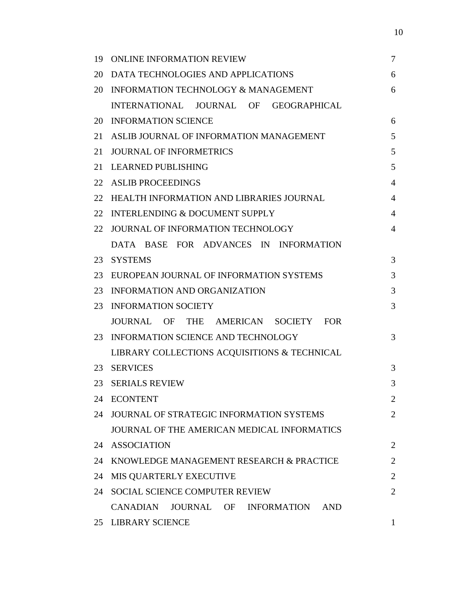| 19 | <b>ONLINE INFORMATION REVIEW</b>                                  | $\overline{7}$ |
|----|-------------------------------------------------------------------|----------------|
| 20 | DATA TECHNOLOGIES AND APPLICATIONS                                | 6              |
| 20 | <b>INFORMATION TECHNOLOGY &amp; MANAGEMENT</b>                    | 6              |
|    | INTERNATIONAL JOURNAL OF GEOGRAPHICAL                             |                |
| 20 | <b>INFORMATION SCIENCE</b>                                        | 6              |
| 21 | ASLIB JOURNAL OF INFORMATION MANAGEMENT                           | 5              |
| 21 | <b>JOURNAL OF INFORMETRICS</b>                                    | 5              |
| 21 | <b>LEARNED PUBLISHING</b>                                         | 5              |
| 22 | <b>ASLIB PROCEEDINGS</b>                                          | $\overline{4}$ |
| 22 | HEALTH INFORMATION AND LIBRARIES JOURNAL                          | $\overline{4}$ |
| 22 | <b>INTERLENDING &amp; DOCUMENT SUPPLY</b>                         | $\overline{4}$ |
| 22 | JOURNAL OF INFORMATION TECHNOLOGY                                 | $\overline{4}$ |
|    | DATA BASE FOR ADVANCES IN INFORMATION                             |                |
| 23 | <b>SYSTEMS</b>                                                    | 3              |
| 23 | EUROPEAN JOURNAL OF INFORMATION SYSTEMS                           | 3              |
| 23 | INFORMATION AND ORGANIZATION                                      | 3              |
| 23 | <b>INFORMATION SOCIETY</b>                                        | 3              |
|    | <b>JOURNAL</b><br>THE AMERICAN SOCIETY<br><b>FOR</b><br><b>OF</b> |                |
| 23 | INFORMATION SCIENCE AND TECHNOLOGY                                | 3              |
|    | LIBRARY COLLECTIONS ACQUISITIONS & TECHNICAL                      |                |
| 23 | <b>SERVICES</b>                                                   | 3              |
| 23 | <b>SERIALS REVIEW</b>                                             | 3              |
|    | 24 ECONTENT                                                       | $\overline{2}$ |
| 24 | JOURNAL OF STRATEGIC INFORMATION SYSTEMS                          | $\overline{2}$ |
|    | JOURNAL OF THE AMERICAN MEDICAL INFORMATICS                       |                |
|    | 24 ASSOCIATION                                                    | $\overline{2}$ |
| 24 | KNOWLEDGE MANAGEMENT RESEARCH & PRACTICE                          | $\overline{2}$ |
| 24 | MIS QUARTERLY EXECUTIVE                                           | $\overline{2}$ |
| 24 | SOCIAL SCIENCE COMPUTER REVIEW                                    | $\overline{2}$ |
|    | CANADIAN JOURNAL OF INFORMATION<br>AND                            |                |
|    | 25 LIBRARY SCIENCE                                                |                |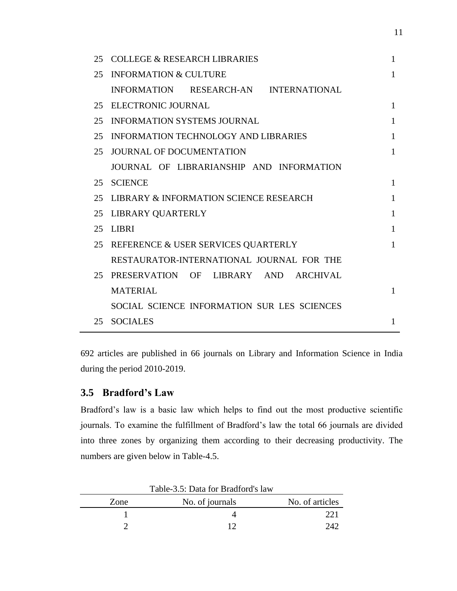| 25 | <b>COLLEGE &amp; RESEARCH LIBRARIES</b>     | 1            |
|----|---------------------------------------------|--------------|
| 25 | <b>INFORMATION &amp; CULTURE</b>            | $\mathbf{1}$ |
|    | INFORMATION RESEARCH-AN INTERNATIONAL       |              |
| 25 | ELECTRONIC JOURNAL                          | $\mathbf{1}$ |
| 25 | <b>INFORMATION SYSTEMS JOURNAL</b>          | 1            |
| 25 | INFORMATION TECHNOLOGY AND LIBRARIES        | 1            |
| 25 | <b>JOURNAL OF DOCUMENTATION</b>             | $\mathbf{1}$ |
|    | JOURNAL OF LIBRARIANSHIP AND INFORMATION    |              |
| 25 | <b>SCIENCE</b>                              | 1            |
| 25 | LIBRARY & INFORMATION SCIENCE RESEARCH      | 1            |
| 25 | LIBRARY QUARTERLY                           | 1            |
| 25 | <b>LIBRI</b>                                | 1            |
| 25 | REFERENCE & USER SERVICES QUARTERLY         | $\mathbf{1}$ |
|    | RESTAURATOR-INTERNATIONAL JOURNAL FOR THE   |              |
| 25 | PRESERVATION<br>OF LIBRARY AND<br>ARCHIVAL  |              |
|    | <b>MATERIAL</b>                             | 1            |
|    | SOCIAL SCIENCE INFORMATION SUR LES SCIENCES |              |
| 25 | <b>SOCIALES</b>                             | 1            |

692 articles are published in 66 journals on Library and Information Science in India during the period 2010-2019.

# **3.5 Bradford's Law**

Bradford's law is a basic law which helps to find out the most productive scientific journals. To examine the fulfillment of Bradford's law the total 66 journals are divided into three zones by organizing them according to their decreasing productivity. The numbers are given below in Table-4.5.

|      | Table-3.3: Data for Bradford's law |                 |
|------|------------------------------------|-----------------|
| Zone | No. of journals                    | No. of articles |
|      |                                    |                 |
|      |                                    |                 |

 $Table 2.5: Data for Duedford's 1$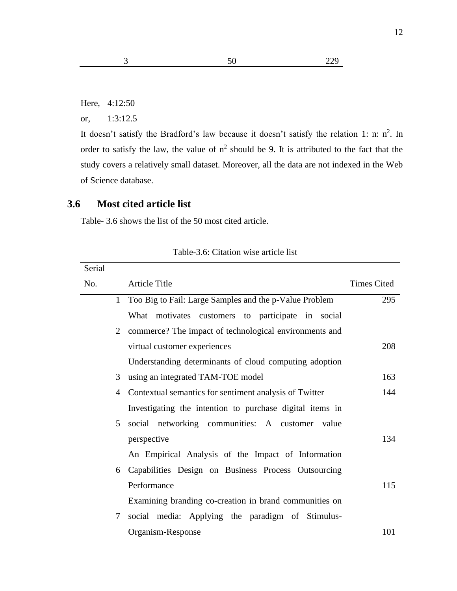Here, 4:12:50

or, 1:3:12.5

It doesn't satisfy the Bradford's law because it doesn't satisfy the relation 1: n:  $n^2$ . In order to satisfy the law, the value of  $n^2$  should be 9. It is attributed to the fact that the study covers a relatively small dataset. Moreover, all the data are not indexed in the Web of Science database.

#### **3.6 Most cited article list**

Table- 3.6 shows the list of the 50 most cited article.

| Serial |              |                                                          |                    |
|--------|--------------|----------------------------------------------------------|--------------------|
| No.    |              | <b>Article Title</b>                                     | <b>Times Cited</b> |
|        | $\mathbf{1}$ | Too Big to Fail: Large Samples and the p-Value Problem   | 295                |
|        |              | What motivates customers to participate in social        |                    |
|        |              | 2 commerce? The impact of technological environments and |                    |
|        |              | virtual customer experiences                             | 208                |
|        |              | Understanding determinants of cloud computing adoption   |                    |
|        | 3            | using an integrated TAM-TOE model                        | 163                |
|        | 4            | Contextual semantics for sentiment analysis of Twitter   | 144                |
|        |              | Investigating the intention to purchase digital items in |                    |
|        | 5            | social networking communities: A customer<br>value       |                    |
|        |              | perspective                                              | 134                |
|        |              | An Empirical Analysis of the Impact of Information       |                    |
|        | 6            | Capabilities Design on Business Process Outsourcing      |                    |
|        |              | Performance                                              | 115                |
|        |              | Examining branding co-creation in brand communities on   |                    |
|        | 7            | social media: Applying the paradigm of Stimulus-         |                    |
|        |              | Organism-Response                                        | 101                |

Table-3.6: Citation wise article list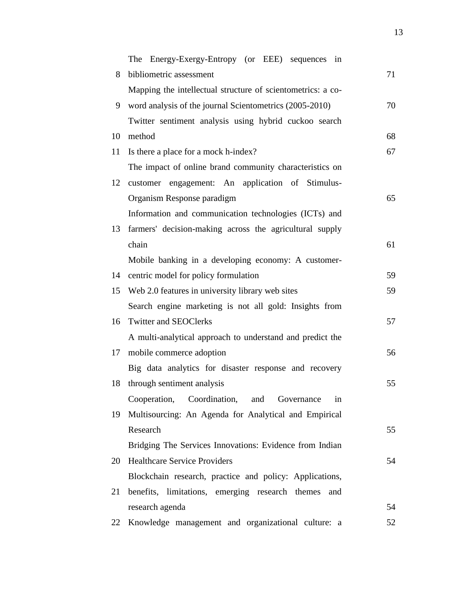|    | The Energy-Exergy-Entropy (or EEE) sequences in             |    |
|----|-------------------------------------------------------------|----|
| 8  | bibliometric assessment                                     | 71 |
|    | Mapping the intellectual structure of scientometrics: a co- |    |
| 9  | word analysis of the journal Scientometrics (2005-2010)     | 70 |
|    | Twitter sentiment analysis using hybrid cuckoo search       |    |
| 10 | method                                                      | 68 |
| 11 | Is there a place for a mock h-index?                        | 67 |
|    | The impact of online brand community characteristics on     |    |
| 12 | customer engagement: An application of Stimulus-            |    |
|    | Organism Response paradigm                                  | 65 |
|    | Information and communication technologies (ICTs) and       |    |
| 13 | farmers' decision-making across the agricultural supply     |    |
|    | chain                                                       | 61 |
|    | Mobile banking in a developing economy: A customer-         |    |
| 14 | centric model for policy formulation                        | 59 |
| 15 | Web 2.0 features in university library web sites            | 59 |
|    | Search engine marketing is not all gold: Insights from      |    |
| 16 | <b>Twitter and SEOClerks</b>                                | 57 |
|    | A multi-analytical approach to understand and predict the   |    |
| 17 | mobile commerce adoption                                    | 56 |
|    | Big data analytics for disaster response and recovery       |    |
| 18 | through sentiment analysis                                  | 55 |
|    | Cooperation, Coordination, and<br>Governance<br>in          |    |
| 19 | Multisourcing: An Agenda for Analytical and Empirical       |    |
|    | Research                                                    | 55 |
|    | Bridging The Services Innovations: Evidence from Indian     |    |
| 20 | <b>Healthcare Service Providers</b>                         | 54 |
|    | Blockchain research, practice and policy: Applications,     |    |
| 21 | benefits, limitations, emerging research themes<br>and      |    |
|    | research agenda                                             | 54 |
| 22 | Knowledge management and organizational culture: a          | 52 |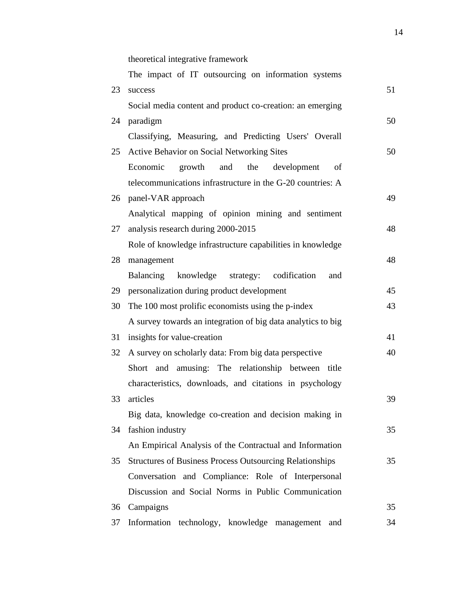theoretical integrative framework

|    | The impact of IT outsourcing on information systems             |    |
|----|-----------------------------------------------------------------|----|
| 23 | success                                                         | 51 |
|    | Social media content and product co-creation: an emerging       |    |
| 24 | paradigm                                                        | 50 |
|    | Classifying, Measuring, and Predicting Users' Overall           |    |
| 25 | <b>Active Behavior on Social Networking Sites</b>               | 50 |
|    | Economic<br>growth<br>and<br>the<br>development<br>of           |    |
|    | telecommunications infrastructure in the G-20 countries: A      |    |
|    | 26 panel-VAR approach                                           | 49 |
|    | Analytical mapping of opinion mining and sentiment              |    |
| 27 | analysis research during 2000-2015                              | 48 |
|    | Role of knowledge infrastructure capabilities in knowledge      |    |
| 28 | management                                                      | 48 |
|    | Balancing knowledge strategy: codification<br>and               |    |
| 29 | personalization during product development                      | 45 |
| 30 | The 100 most prolific economists using the p-index              | 43 |
|    | A survey towards an integration of big data analytics to big    |    |
| 31 | insights for value-creation                                     | 41 |
| 32 | A survey on scholarly data: From big data perspective           | 40 |
|    | Short and amusing: The relationship between title               |    |
|    | characteristics, downloads, and citations in psychology         |    |
| 33 | articles                                                        | 39 |
|    | Big data, knowledge co-creation and decision making in          |    |
| 34 | fashion industry                                                | 35 |
|    | An Empirical Analysis of the Contractual and Information        |    |
| 35 | <b>Structures of Business Process Outsourcing Relationships</b> | 35 |
|    | Conversation and Compliance: Role of Interpersonal              |    |
|    | Discussion and Social Norms in Public Communication             |    |
| 36 | Campaigns                                                       | 35 |
| 37 | Information technology, knowledge<br>management<br>and          | 34 |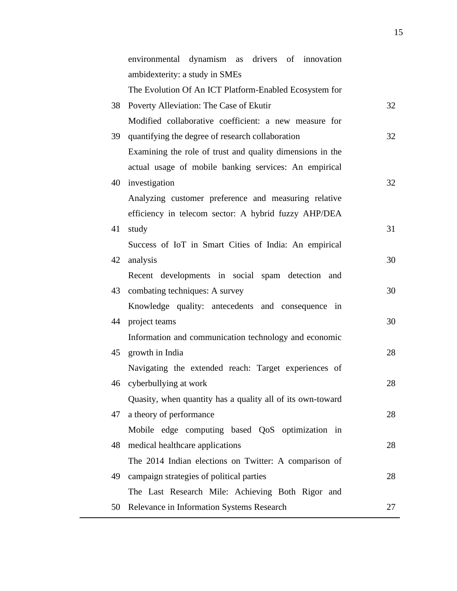|    | environmental dynamism<br>drivers of innovation<br>as      |    |
|----|------------------------------------------------------------|----|
|    | ambidexterity: a study in SMEs                             |    |
|    | The Evolution Of An ICT Platform-Enabled Ecosystem for     |    |
| 38 | Poverty Alleviation: The Case of Ekutir                    | 32 |
|    | Modified collaborative coefficient: a new measure for      |    |
| 39 | quantifying the degree of research collaboration           | 32 |
|    | Examining the role of trust and quality dimensions in the  |    |
|    | actual usage of mobile banking services: An empirical      |    |
|    | 40 investigation                                           | 32 |
|    | Analyzing customer preference and measuring relative       |    |
|    | efficiency in telecom sector: A hybrid fuzzy AHP/DEA       |    |
| 41 | study                                                      | 31 |
|    | Success of IoT in Smart Cities of India: An empirical      |    |
| 42 | analysis                                                   | 30 |
|    | Recent developments in social spam detection and           |    |
| 43 | combating techniques: A survey                             | 30 |
|    | Knowledge quality: antecedents and consequence in          |    |
|    | 44 project teams                                           | 30 |
|    | Information and communication technology and economic      |    |
|    | 45 growth in India                                         | 28 |
|    | Navigating the extended reach: Target experiences of       |    |
|    | 46 cyberbullying at work                                   | 28 |
|    | Quasity, when quantity has a quality all of its own-toward |    |
| 47 | a theory of performance                                    | 28 |
|    | Mobile edge computing based QoS optimization in            |    |
| 48 | medical healthcare applications                            | 28 |
|    | The 2014 Indian elections on Twitter: A comparison of      |    |
| 49 | campaign strategies of political parties                   | 28 |
|    | The Last Research Mile: Achieving Both Rigor and           |    |
| 50 | Relevance in Information Systems Research                  | 27 |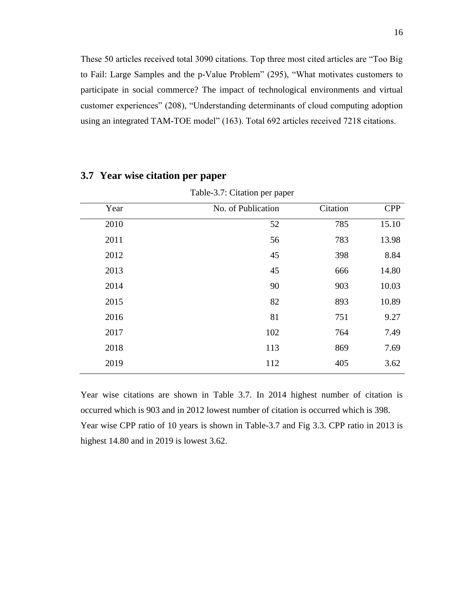These 50 articles received total 3090 citations. Top three most cited articles are "Too Big to Fail: Large Samples and the p-Value Problem" (295), "What motivates customers to participate in social commerce? The impact of technological environments and virtual customer experiences" (208), "Understanding determinants of cloud computing adoption using an integrated TAM-TOE model" (163). Total 692 articles received 7218 citations.

| Table-3.7: Citation per paper |                    |          |            |
|-------------------------------|--------------------|----------|------------|
| Year                          | No. of Publication | Citation | <b>CPP</b> |
| 2010                          | 52                 | 785      | 15.10      |
| 2011                          | 56                 | 783      | 13.98      |
| 2012                          | 45                 | 398      | 8.84       |
| 2013                          | 45                 | 666      | 14.80      |
| 2014                          | 90                 | 903      | 10.03      |
| 2015                          | 82                 | 893      | 10.89      |
| 2016                          | 81                 | 751      | 9.27       |
| 2017                          | 102                | 764      | 7.49       |
| 2018                          | 113                | 869      | 7.69       |
| 2019                          | 112                | 405      | 3.62       |
|                               |                    |          |            |

#### **3.7 Year wise citation per paper**

Year wise citations are shown in Table 3.7. In 2014 highest number of citation is occurred which is 903 and in 2012 lowest number of citation is occurred which is 398. Year wise CPP ratio of 10 years is shown in Table-3.7 and Fig 3.3. CPP ratio in 2013 is highest 14.80 and in 2019 is lowest 3.62.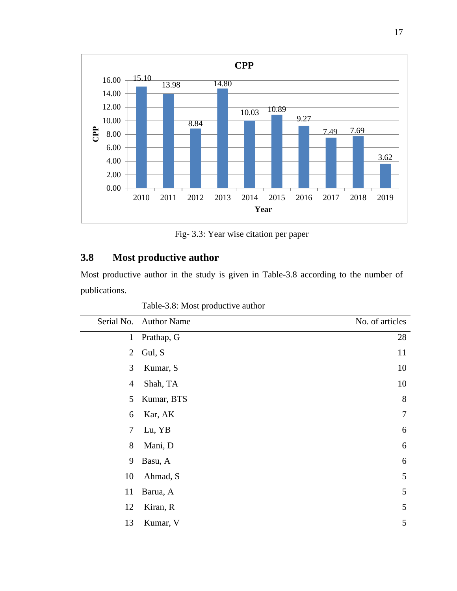

Fig- 3.3: Year wise citation per paper

# **3.8 Most productive author**

Most productive author in the study is given in Table-3.8 according to the number of publications.

Table-3.8: Most productive author

| Serial No.     | <b>Author Name</b> | No. of articles |
|----------------|--------------------|-----------------|
| $\mathbf{1}$   | Prathap, G         | 28              |
| $\overline{2}$ | Gul, S             | 11              |
| 3              | Kumar, S           | 10              |
| $\overline{4}$ | Shah, TA           | 10              |
| 5              | Kumar, BTS         | 8               |
| 6              | Kar, AK            | 7               |
| 7              | Lu, YB             | 6               |
| 8              | Mani, D            | 6               |
| 9              | Basu, A            | 6               |
| 10             | Ahmad, S           | 5               |
| 11             | Barua, A           | 5               |
| 12             | Kiran, R           | 5               |
| 13             | Kumar, V           | 5               |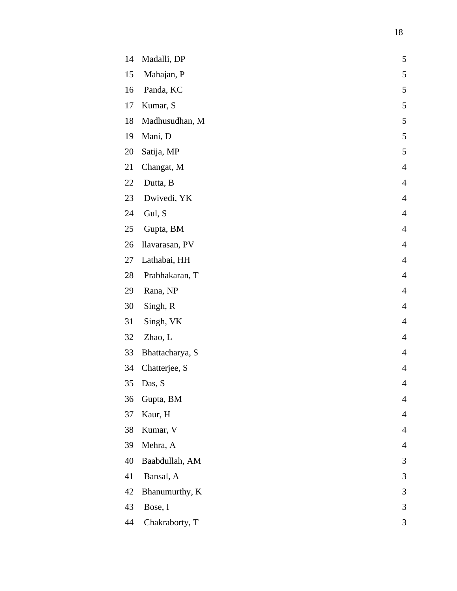| 14 | Madalli, DP     | 5              |
|----|-----------------|----------------|
| 15 | Mahajan, P      | 5              |
| 16 | Panda, KC       | 5              |
| 17 | Kumar, S        | 5              |
| 18 | Madhusudhan, M  | 5              |
| 19 | Mani, D         | 5              |
| 20 | Satija, MP      | 5              |
| 21 | Changat, M      | $\overline{4}$ |
| 22 | Dutta, B        | $\overline{4}$ |
| 23 | Dwivedi, YK     | $\overline{4}$ |
| 24 | Gul, S          | $\overline{4}$ |
| 25 | Gupta, BM       | $\overline{4}$ |
| 26 | Ilavarasan, PV  | $\overline{4}$ |
| 27 | Lathabai, HH    | $\overline{4}$ |
| 28 | Prabhakaran, T  | $\overline{4}$ |
| 29 | Rana, NP        | $\overline{4}$ |
| 30 | Singh, R        | $\overline{4}$ |
| 31 | Singh, VK       | $\overline{4}$ |
| 32 | Zhao, L         | $\overline{4}$ |
| 33 | Bhattacharya, S | $\overline{4}$ |
| 34 | Chatterjee, S   | $\overline{4}$ |
| 35 | Das, S          | $\overline{4}$ |
| 36 | Gupta, BM       | $\overline{4}$ |
| 37 | Kaur, H         | $\overline{4}$ |
| 38 | Kumar, V        | 4              |
| 39 | Mehra, A        | $\overline{4}$ |
| 40 | Baabdullah, AM  | 3              |
| 41 | Bansal, A       | 3              |
| 42 | Bhanumurthy, K  | 3              |
| 43 | Bose, I         | 3              |
| 44 | Chakraborty, T  | 3              |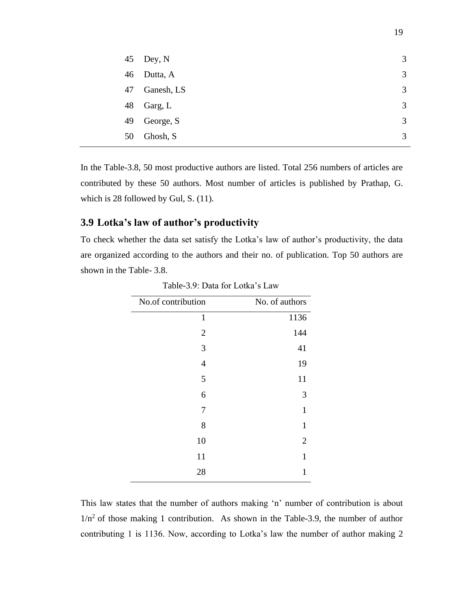|    | 45 Dey, N  | 3 |
|----|------------|---|
| 46 | Dutta, A   | 3 |
| 47 | Ganesh, LS | 3 |
| 48 | Garg, L    | 3 |
| 49 | George, S  | 3 |
| 50 | Ghosh, S   | 3 |

In the Table-3.8, 50 most productive authors are listed. Total 256 numbers of articles are contributed by these 50 authors. Most number of articles is published by Prathap, G. which is 28 followed by Gul, S. (11).

# **3.9 Lotka's law of author's productivity**

To check whether the data set satisfy the Lotka's law of author's productivity, the data are organized according to the authors and their no. of publication. Top 50 authors are shown in the Table- 3.8.

| 1136                                                                                         |
|----------------------------------------------------------------------------------------------|
|                                                                                              |
|                                                                                              |
|                                                                                              |
|                                                                                              |
|                                                                                              |
|                                                                                              |
|                                                                                              |
|                                                                                              |
|                                                                                              |
|                                                                                              |
|                                                                                              |
| 144<br>41<br>19<br>11<br>3<br>$\mathbf{1}$<br>$\mathbf{1}$<br>$\overline{2}$<br>$\mathbf{1}$ |

Table-3.9: Data for Lotka's Law

This law states that the number of authors making 'n' number of contribution is about  $1/n^2$  of those making 1 contribution. As shown in the Table-3.9, the number of author contributing 1 is 1136. Now, according to Lotka's law the number of author making 2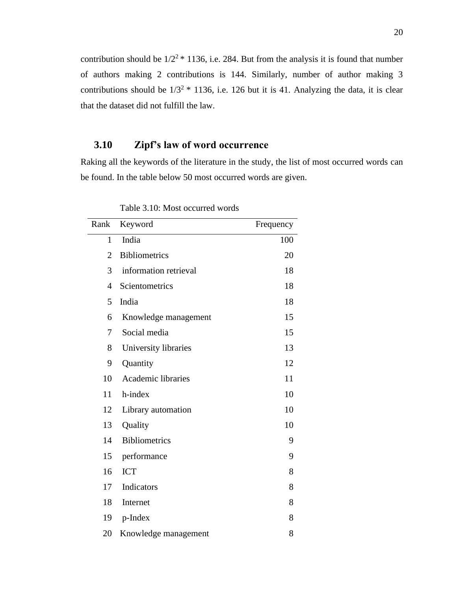contribution should be  $1/2^2$  \* 1136, i.e. 284. But from the analysis it is found that number of authors making 2 contributions is 144. Similarly, number of author making 3 contributions should be  $1/3^2 * 1136$ , i.e. 126 but it is 41. Analyzing the data, it is clear that the dataset did not fulfill the law.

# **3.10 Zipf's law of word occurrence**

Raking all the keywords of the literature in the study, the list of most occurred words can be found. In the table below 50 most occurred words are given.

| Rank           | Keyword                   | Frequency |
|----------------|---------------------------|-----------|
| $\mathbf{1}$   | India                     | 100       |
| $\overline{2}$ | <b>Bibliometrics</b>      | 20        |
| 3              | information retrieval     | 18        |
| 4              | Scientometrics            | 18        |
| 5              | India                     | 18        |
| 6              | Knowledge management      | 15        |
| 7              | Social media              | 15        |
| 8              | University libraries      | 13        |
| 9              | Quantity                  | 12        |
| 10             | <b>Academic libraries</b> | 11        |
| 11             | h-index                   | 10        |
| 12             | Library automation        | 10        |
| 13             | Quality                   | 10        |
| 14             | <b>Bibliometrics</b>      | 9         |
| 15             | performance               | 9         |
| 16             | <b>ICT</b>                | 8         |
| 17             | Indicators                | 8         |
| 18             | Internet                  | 8         |
| 19             | p-Index                   | 8         |
| 20             | Knowledge management      | 8         |

Table 3.10: Most occurred words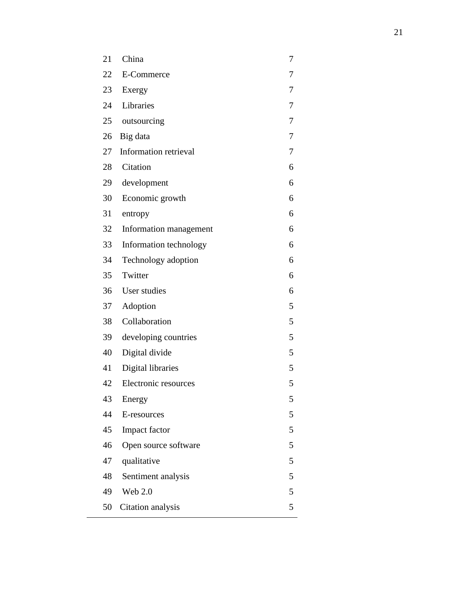| 21 | China                  | 7 |
|----|------------------------|---|
| 22 | E-Commerce             | 7 |
| 23 | Exergy                 | 7 |
| 24 | Libraries              | 7 |
| 25 | outsourcing            | 7 |
| 26 | Big data               | 7 |
| 27 | Information retrieval  | 7 |
| 28 | Citation               | 6 |
| 29 | development            | 6 |
| 30 | Economic growth        | 6 |
| 31 | entropy                | 6 |
| 32 | Information management | 6 |
| 33 | Information technology | 6 |
| 34 | Technology adoption    | 6 |
| 35 | Twitter                | 6 |
| 36 | User studies           | 6 |
| 37 | Adoption               | 5 |
| 38 | Collaboration          | 5 |
| 39 | developing countries   | 5 |
| 40 | Digital divide         | 5 |
| 41 | Digital libraries      | 5 |
| 42 | Electronic resources   | 5 |
| 43 | Energy                 | 5 |
| 44 | E-resources            | 5 |
| 45 | Impact factor          | 5 |
| 46 | Open source software   | 5 |
| 47 | qualitative            | 5 |
| 48 | Sentiment analysis     | 5 |
| 49 | <b>Web 2.0</b>         | 5 |
| 50 | Citation analysis      | 5 |
|    |                        |   |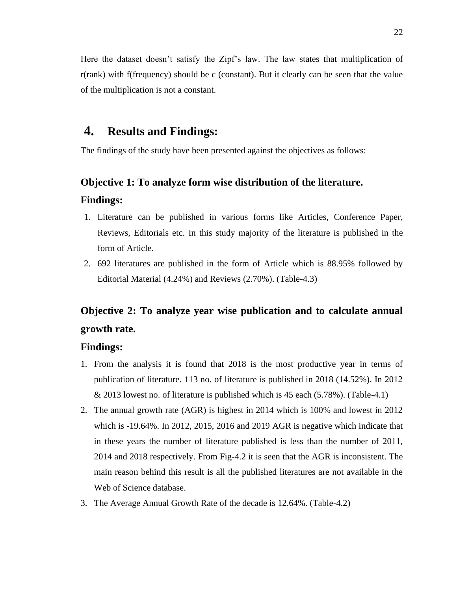Here the dataset doesn't satisfy the Zipf's law. The law states that multiplication of r(rank) with f(frequency) should be c (constant). But it clearly can be seen that the value of the multiplication is not a constant.

# **4. Results and Findings:**

The findings of the study have been presented against the objectives as follows:

# **Objective 1: To analyze form wise distribution of the literature. Findings:**

- 1. Literature can be published in various forms like Articles, Conference Paper, Reviews, Editorials etc. In this study majority of the literature is published in the form of Article.
- 2. 692 literatures are published in the form of Article which is 88.95% followed by Editorial Material (4.24%) and Reviews (2.70%). (Table-4.3)

# **Objective 2: To analyze year wise publication and to calculate annual growth rate.**

#### **Findings:**

- 1. From the analysis it is found that 2018 is the most productive year in terms of publication of literature. 113 no. of literature is published in 2018 (14.52%). In 2012 & 2013 lowest no. of literature is published which is 45 each (5.78%). (Table-4.1)
- 2. The annual growth rate (AGR) is highest in 2014 which is 100% and lowest in 2012 which is -19.64%. In 2012, 2015, 2016 and 2019 AGR is negative which indicate that in these years the number of literature published is less than the number of 2011, 2014 and 2018 respectively. From Fig-4.2 it is seen that the AGR is inconsistent. The main reason behind this result is all the published literatures are not available in the Web of Science database.
- 3. The Average Annual Growth Rate of the decade is 12.64%. (Table-4.2)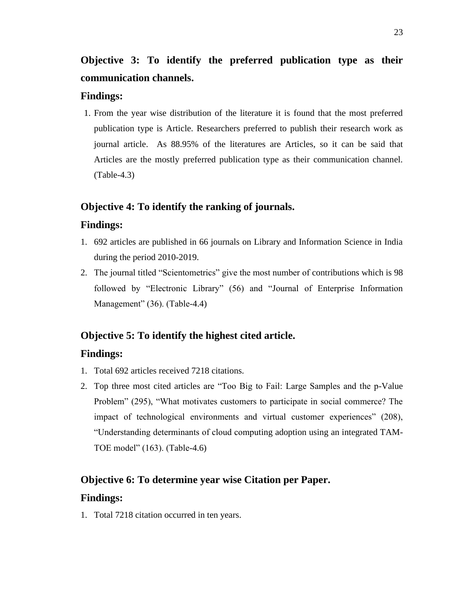**Objective 3: To identify the preferred publication type as their communication channels.**

## **Findings:**

1. From the year wise distribution of the literature it is found that the most preferred publication type is Article. Researchers preferred to publish their research work as journal article. As 88.95% of the literatures are Articles, so it can be said that Articles are the mostly preferred publication type as their communication channel. (Table-4.3)

## **Objective 4: To identify the ranking of journals.**

#### **Findings:**

- 1. 692 articles are published in 66 journals on Library and Information Science in India during the period 2010-2019.
- 2. The journal titled "Scientometrics" give the most number of contributions which is 98 followed by "Electronic Library" (56) and "Journal of Enterprise Information Management" (36). (Table-4.4)

## **Objective 5: To identify the highest cited article.**

#### **Findings:**

- 1. Total 692 articles received 7218 citations.
- 2. Top three most cited articles are "Too Big to Fail: Large Samples and the p-Value Problem" (295), "What motivates customers to participate in social commerce? The impact of technological environments and virtual customer experiences" (208), "Understanding determinants of cloud computing adoption using an integrated TAM-TOE model" (163). (Table-4.6)

## **Objective 6: To determine year wise Citation per Paper.**

#### **Findings:**

1. Total 7218 citation occurred in ten years.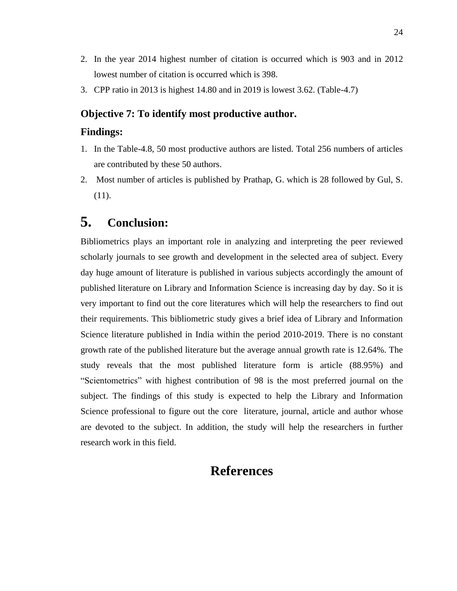- 2. In the year 2014 highest number of citation is occurred which is 903 and in 2012 lowest number of citation is occurred which is 398.
- 3. CPP ratio in 2013 is highest 14.80 and in 2019 is lowest 3.62. (Table-4.7)

## **Objective 7: To identify most productive author.**

#### **Findings:**

- 1. In the Table-4.8, 50 most productive authors are listed. Total 256 numbers of articles are contributed by these 50 authors.
- 2. Most number of articles is published by Prathap, G. which is 28 followed by Gul, S. (11).

# **5. Conclusion:**

Bibliometrics plays an important role in analyzing and interpreting the peer reviewed scholarly journals to see growth and development in the selected area of subject. Every day huge amount of literature is published in various subjects accordingly the amount of published literature on Library and Information Science is increasing day by day. So it is very important to find out the core literatures which will help the researchers to find out their requirements. This bibliometric study gives a brief idea of Library and Information Science literature published in India within the period 2010-2019. There is no constant growth rate of the published literature but the average annual growth rate is 12.64%. The study reveals that the most published literature form is article (88.95%) and "Scientometrics" with highest contribution of 98 is the most preferred journal on the subject. The findings of this study is expected to help the Library and Information Science professional to figure out the core literature, journal, article and author whose are devoted to the subject. In addition, the study will help the researchers in further research work in this field.

# **References**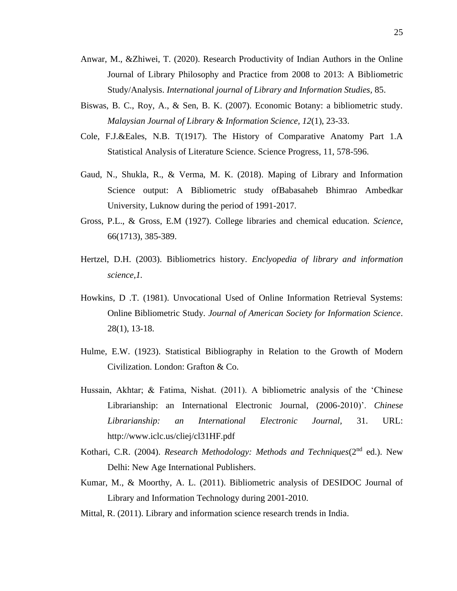- Anwar, M., &Zhiwei, T. (2020). Research Productivity of Indian Authors in the Online Journal of Library Philosophy and Practice from 2008 to 2013: A Bibliometric Study/Analysis. *International journal of Library and Information Studies,* 85.
- Biswas, B. C., Roy, A., & Sen, B. K. (2007). Economic Botany: a bibliometric study. *Malaysian Journal of Library & Information Science, 12*(1), 23-33.
- Cole, F.J.&Eales, N.B. T(1917). The History of Comparative Anatomy Part 1.A Statistical Analysis of Literature Science. Science Progress, 11, 578-596.
- Gaud, N., Shukla, R., & Verma, M. K. (2018). Maping of Library and Information Science output: A Bibliometric study ofBabasaheb Bhimrao Ambedkar University, Luknow during the period of 1991-2017.
- Gross, P.L., & Gross, E.M (1927). College libraries and chemical education. *Science*, 66(1713), 385-389.
- Hertzel, D.H. (2003). Bibliometrics history. *Enclyopedia of library and information science,1.*
- Howkins, D .T. (1981). Unvocational Used of Online Information Retrieval Systems: Online Bibliometric Study*. Journal of American Society for Information Science*. 28(1), 13-18.
- Hulme, E.W. (1923). Statistical Bibliography in Relation to the Growth of Modern Civilization. London: Grafton & Co.
- Hussain, Akhtar; & Fatima, Nishat. (2011). A bibliometric analysis of the 'Chinese Librarianship: an International Electronic Journal, (2006-2010)'. *Chinese Librarianship: an International Electronic Journal,* 31. URL: http://www.iclc.us/cliej/cl31HF.pdf
- Kothari, C.R. (2004). *Research Methodology: Methods and Techniques*(2<sup>nd</sup> ed.). New Delhi: New Age International Publishers.
- Kumar, M., & Moorthy, A. L. (2011). Bibliometric analysis of DESIDOC Journal of Library and Information Technology during 2001-2010.
- Mittal, R. (2011). Library and information science research trends in India.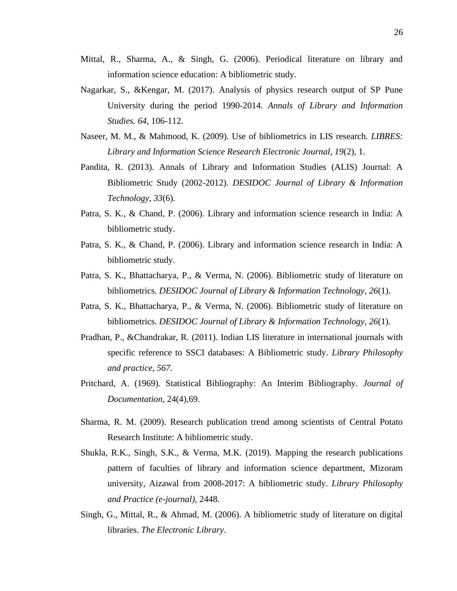- Mittal, R., Sharma, A., & Singh, G. (2006). Periodical literature on library and information science education: A bibliometric study.
- Nagarkar, S., &Kengar, M. (2017). Analysis of physics research output of SP Pune University during the period 1990-2014. *Annals of Library and Information Studies. 64,* 106-112.
- Naseer, M. M., & Mahmood, K. (2009). Use of bibliometrics in LIS research. *LIBRES: Library and Information Science Research Electronic Journal, 19*(2), 1.
- Pandita, R. (2013). Annals of Library and Information Studies (ALIS) Journal: A Bibliometric Study (2002-2012). *DESIDOC Journal of Library & Information Technology, 33*(6).
- Patra, S. K., & Chand, P. (2006). Library and information science research in India: A bibliometric study.
- Patra, S. K., & Chand, P. (2006). Library and information science research in India: A bibliometric study.
- Patra, S. K., Bhattacharya, P., & Verma, N. (2006). Bibliometric study of literature on bibliometrics. *DESIDOC Journal of Library & Information Technology*, *26*(1).
- Patra, S. K., Bhattacharya, P., & Verma, N. (2006). Bibliometric study of literature on bibliometrics. *DESIDOC Journal of Library & Information Technology*, *26*(1).
- Pradhan, P., &Chandrakar, R. (2011). Indian LIS literature in international journals with specific reference to SSCI databases: A Bibliometric study. *Library Philosophy and practice, 567.*
- Pritchard, A. (1969). Statistical Bibliography: An Interim Bibliography. *Journal of Documentation*, 24(4),69.
- Sharma, R. M. (2009). Research publication trend among scientists of Central Potato Research Institute: A bibliometric study.
- Shukla, R.K., Singh, S.K., & Verma, M.K. (2019). Mapping the research publications pattern of faculties of library and information science department, Mizoram university, Aizawal from 2008-2017: A bibliometric study. *Library Philosophy and Practice (e-journal)*, 2448.
- Singh, G., Mittal, R., & Ahmad, M. (2006). A bibliometric study of literature on digital libraries. *The Electronic Library*.